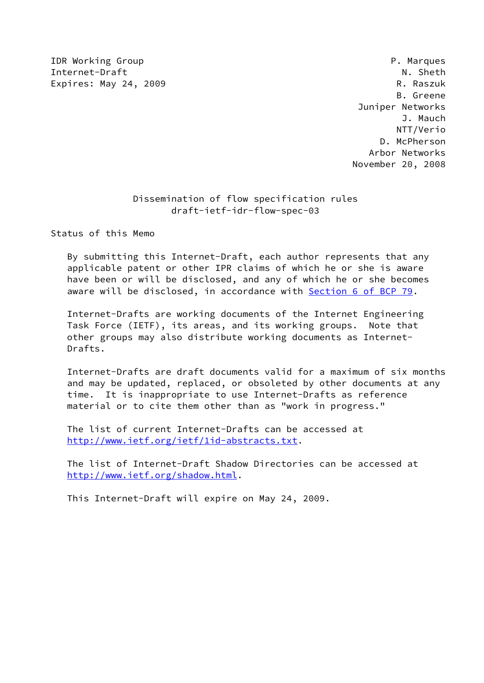IDR Working Group **P. Marques** P. Marques Internet-Draft N. Sheth Expires: May 24, 2009 **R. Raszuk** 

 B. Greene Juniper Networks J. Mauch NTT/Verio D. McPherson Arbor Networks November 20, 2008

# Dissemination of flow specification rules draft-ietf-idr-flow-spec-03

Status of this Memo

 By submitting this Internet-Draft, each author represents that any applicable patent or other IPR claims of which he or she is aware have been or will be disclosed, and any of which he or she becomes aware will be disclosed, in accordance with Section [6 of BCP 79.](https://datatracker.ietf.org/doc/pdf/bcp79#section-6)

 Internet-Drafts are working documents of the Internet Engineering Task Force (IETF), its areas, and its working groups. Note that other groups may also distribute working documents as Internet- Drafts.

 Internet-Drafts are draft documents valid for a maximum of six months and may be updated, replaced, or obsoleted by other documents at any time. It is inappropriate to use Internet-Drafts as reference material or to cite them other than as "work in progress."

 The list of current Internet-Drafts can be accessed at <http://www.ietf.org/ietf/1id-abstracts.txt>.

 The list of Internet-Draft Shadow Directories can be accessed at <http://www.ietf.org/shadow.html>.

This Internet-Draft will expire on May 24, 2009.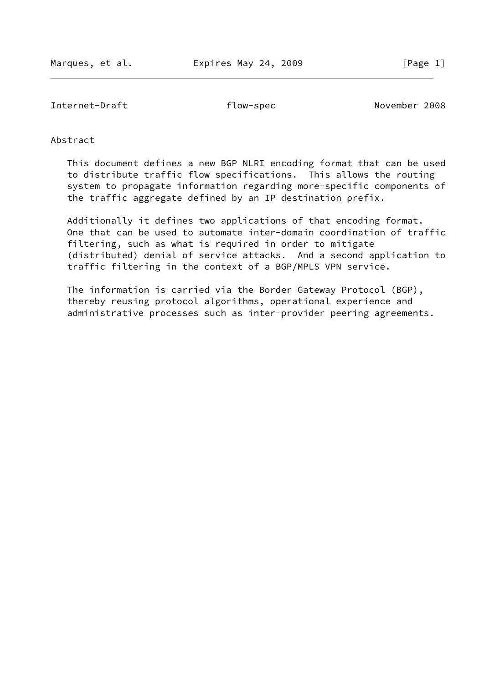Internet-Draft flow-spec November 2008

# Abstract

 This document defines a new BGP NLRI encoding format that can be used to distribute traffic flow specifications. This allows the routing system to propagate information regarding more-specific components of the traffic aggregate defined by an IP destination prefix.

 Additionally it defines two applications of that encoding format. One that can be used to automate inter-domain coordination of traffic filtering, such as what is required in order to mitigate (distributed) denial of service attacks. And a second application to traffic filtering in the context of a BGP/MPLS VPN service.

 The information is carried via the Border Gateway Protocol (BGP), thereby reusing protocol algorithms, operational experience and administrative processes such as inter-provider peering agreements.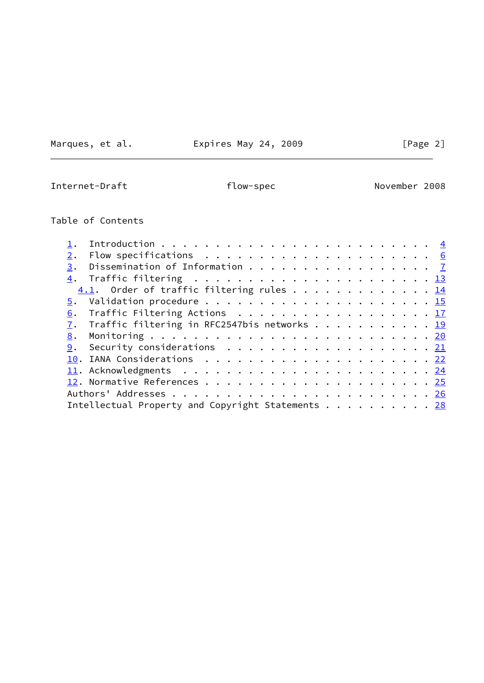Marques, et al. **Expires May 24, 2009** [Page 2]

Internet-Draft **flow-spec** November 2008

# Table of Contents

| 2. |                                                                                              |  |  |  |  |  |  |  |  |  |  |
|----|----------------------------------------------------------------------------------------------|--|--|--|--|--|--|--|--|--|--|
|    | 3. Dissemination of Information $\frac{7}{2}$                                                |  |  |  |  |  |  |  |  |  |  |
|    |                                                                                              |  |  |  |  |  |  |  |  |  |  |
|    | $4.1$ . Order of traffic filtering rules 14                                                  |  |  |  |  |  |  |  |  |  |  |
|    |                                                                                              |  |  |  |  |  |  |  |  |  |  |
|    | 6. Traffic Filtering Actions 17                                                              |  |  |  |  |  |  |  |  |  |  |
|    | 7. Traffic filtering in RFC2547bis networks 19                                               |  |  |  |  |  |  |  |  |  |  |
|    |                                                                                              |  |  |  |  |  |  |  |  |  |  |
|    | <u>9</u> . Security considerations $\ldots \ldots \ldots \ldots \ldots \ldots \ldots \ldots$ |  |  |  |  |  |  |  |  |  |  |
|    |                                                                                              |  |  |  |  |  |  |  |  |  |  |
|    |                                                                                              |  |  |  |  |  |  |  |  |  |  |
|    |                                                                                              |  |  |  |  |  |  |  |  |  |  |
|    |                                                                                              |  |  |  |  |  |  |  |  |  |  |
|    | Intellectual Property and Copyright Statements 28                                            |  |  |  |  |  |  |  |  |  |  |
|    |                                                                                              |  |  |  |  |  |  |  |  |  |  |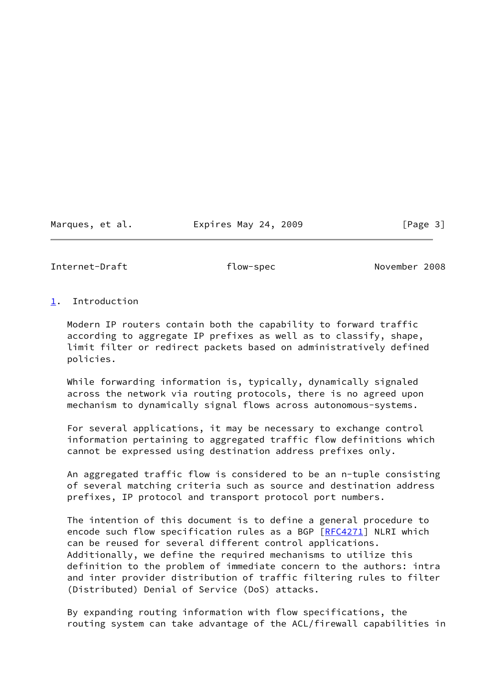Marques, et al. Expires May 24, 2009 [Page 3]

<span id="page-3-1"></span>Internet-Draft flow-spec November 2008

# <span id="page-3-0"></span>[1](#page-3-0). Introduction

 Modern IP routers contain both the capability to forward traffic according to aggregate IP prefixes as well as to classify, shape, limit filter or redirect packets based on administratively defined policies.

 While forwarding information is, typically, dynamically signaled across the network via routing protocols, there is no agreed upon mechanism to dynamically signal flows across autonomous-systems.

 For several applications, it may be necessary to exchange control information pertaining to aggregated traffic flow definitions which cannot be expressed using destination address prefixes only.

 An aggregated traffic flow is considered to be an n-tuple consisting of several matching criteria such as source and destination address prefixes, IP protocol and transport protocol port numbers.

 The intention of this document is to define a general procedure to encode such flow specification rules as a BGP [[RFC4271](https://datatracker.ietf.org/doc/pdf/rfc4271)] NLRI which can be reused for several different control applications. Additionally, we define the required mechanisms to utilize this definition to the problem of immediate concern to the authors: intra and inter provider distribution of traffic filtering rules to filter (Distributed) Denial of Service (DoS) attacks.

 By expanding routing information with flow specifications, the routing system can take advantage of the ACL/firewall capabilities in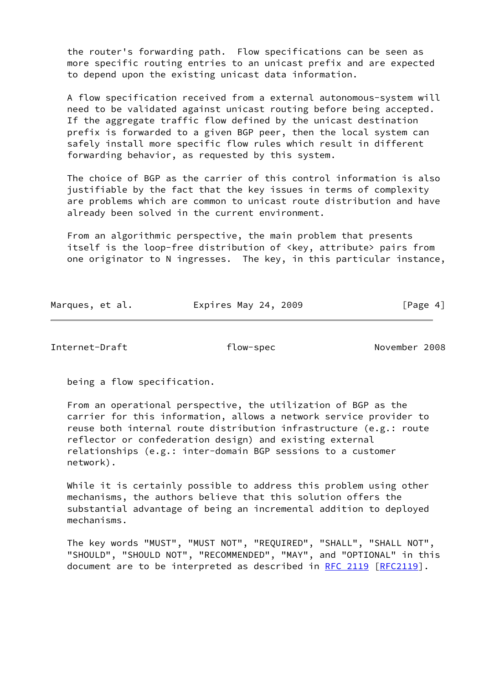the router's forwarding path. Flow specifications can be seen as more specific routing entries to an unicast prefix and are expected to depend upon the existing unicast data information.

 A flow specification received from a external autonomous-system will need to be validated against unicast routing before being accepted. If the aggregate traffic flow defined by the unicast destination prefix is forwarded to a given BGP peer, then the local system can safely install more specific flow rules which result in different forwarding behavior, as requested by this system.

 The choice of BGP as the carrier of this control information is also justifiable by the fact that the key issues in terms of complexity are problems which are common to unicast route distribution and have already been solved in the current environment.

 From an algorithmic perspective, the main problem that presents itself is the loop-free distribution of <key, attribute> pairs from one originator to N ingresses. The key, in this particular instance,

| Marques, et al. | Expires May 24, 2009 | [Page 4] |
|-----------------|----------------------|----------|
|                 |                      |          |

Internet-Draft flow-spec November 2008

being a flow specification.

 From an operational perspective, the utilization of BGP as the carrier for this information, allows a network service provider to reuse both internal route distribution infrastructure (e.g.: route reflector or confederation design) and existing external relationships (e.g.: inter-domain BGP sessions to a customer network).

 While it is certainly possible to address this problem using other mechanisms, the authors believe that this solution offers the substantial advantage of being an incremental addition to deployed mechanisms.

 The key words "MUST", "MUST NOT", "REQUIRED", "SHALL", "SHALL NOT", "SHOULD", "SHOULD NOT", "RECOMMENDED", "MAY", and "OPTIONAL" in this document are to be interpreted as described in [RFC 2119 \[RFC2119](https://datatracker.ietf.org/doc/pdf/rfc2119)].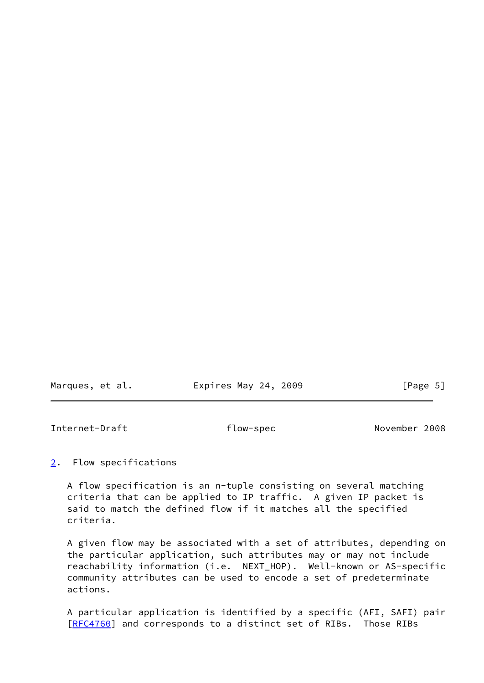Marques, et al. **Expires May 24, 2009** [Page 5]

<span id="page-5-1"></span>Internet-Draft flow-spec November 2008

<span id="page-5-0"></span>[2](#page-5-0). Flow specifications

 A flow specification is an n-tuple consisting on several matching criteria that can be applied to IP traffic. A given IP packet is said to match the defined flow if it matches all the specified criteria.

 A given flow may be associated with a set of attributes, depending on the particular application, such attributes may or may not include reachability information (i.e. NEXT HOP). Well-known or AS-specific community attributes can be used to encode a set of predeterminate actions.

 A particular application is identified by a specific (AFI, SAFI) pair [\[RFC4760](https://datatracker.ietf.org/doc/pdf/rfc4760)] and corresponds to a distinct set of RIBs. Those RIBs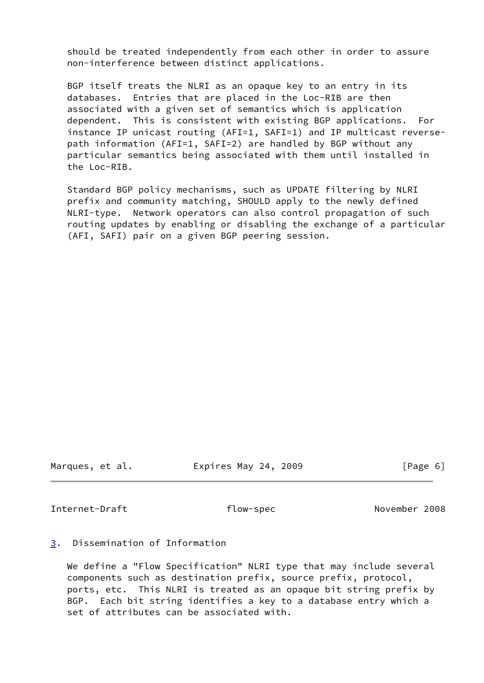should be treated independently from each other in order to assure non-interference between distinct applications.

 BGP itself treats the NLRI as an opaque key to an entry in its databases. Entries that are placed in the Loc-RIB are then associated with a given set of semantics which is application dependent. This is consistent with existing BGP applications. For instance IP unicast routing (AFI=1, SAFI=1) and IP multicast reverse path information (AFI=1, SAFI=2) are handled by BGP without any particular semantics being associated with them until installed in the Loc-RIB.

 Standard BGP policy mechanisms, such as UPDATE filtering by NLRI prefix and community matching, SHOULD apply to the newly defined NLRI-type. Network operators can also control propagation of such routing updates by enabling or disabling the exchange of a particular (AFI, SAFI) pair on a given BGP peering session.

Marques, et al. Expires May 24, 2009 [Page 6]

<span id="page-6-1"></span>Internet-Draft **flow-spec** November 2008

# <span id="page-6-0"></span>[3](#page-6-0). Dissemination of Information

 We define a "Flow Specification" NLRI type that may include several components such as destination prefix, source prefix, protocol, ports, etc. This NLRI is treated as an opaque bit string prefix by BGP. Each bit string identifies a key to a database entry which a set of attributes can be associated with.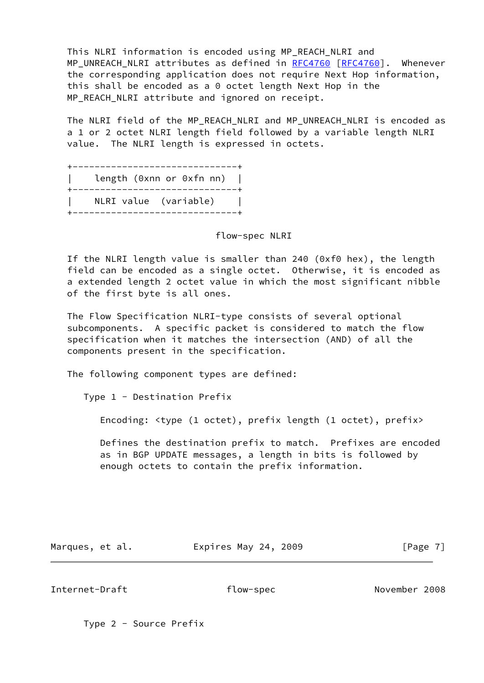This NLRI information is encoded using MP\_REACH\_NLRI and MP\_UNREACH\_NLRI attributes as defined in [RFC4760](https://datatracker.ietf.org/doc/pdf/rfc4760) [\[RFC4760](https://datatracker.ietf.org/doc/pdf/rfc4760)]. Whenever the corresponding application does not require Next Hop information, this shall be encoded as a 0 octet length Next Hop in the MP\_REACH\_NLRI attribute and ignored on receipt.

The NLRI field of the MP\_REACH\_NLRI and MP\_UNREACH\_NLRI is encoded as a 1 or 2 octet NLRI length field followed by a variable length NLRI value. The NLRI length is expressed in octets.

 +------------------------------+ length (0xnn or 0xfn nn) | +------------------------------+ | NLRI value (variable) | +------------------------------+

#### flow-spec NLRI

 If the NLRI length value is smaller than 240 (0xf0 hex), the length field can be encoded as a single octet. Otherwise, it is encoded as a extended length 2 octet value in which the most significant nibble of the first byte is all ones.

 The Flow Specification NLRI-type consists of several optional subcomponents. A specific packet is considered to match the flow specification when it matches the intersection (AND) of all the components present in the specification.

The following component types are defined:

Type 1 - Destination Prefix

Encoding: <type (1 octet), prefix length (1 octet), prefix>

 Defines the destination prefix to match. Prefixes are encoded as in BGP UPDATE messages, a length in bits is followed by enough octets to contain the prefix information.

Marques, et al. **Expires May 24, 2009** [Page 7]

Internet-Draft flow-spec November 2008

Type 2 - Source Prefix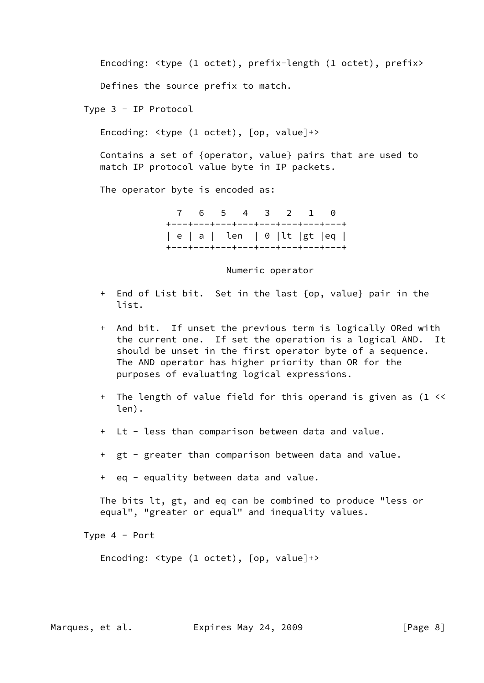Encoding: <type (1 octet), prefix-length (1 octet), prefix>

Defines the source prefix to match.

Type 3 - IP Protocol

Encoding: <type (1 octet), [op, value]+>

 Contains a set of {operator, value} pairs that are used to match IP protocol value byte in IP packets.

The operator byte is encoded as:

 7 6 5 4 3 2 1 0 +---+---+---+---+---+---+---+---+ | e | a | len | 0 |lt |gt |eq | +---+---+---+---+---+---+---+---+

Numeric operator

- + End of List bit. Set in the last {op, value} pair in the list.
- + And bit. If unset the previous term is logically ORed with the current one. If set the operation is a logical AND. It should be unset in the first operator byte of a sequence. The AND operator has higher priority than OR for the purposes of evaluating logical expressions.
- + The length of value field for this operand is given as (1 << len).
- + Lt less than comparison between data and value.
- + gt greater than comparison between data and value.
- + eq equality between data and value.

 The bits lt, gt, and eq can be combined to produce "less or equal", "greater or equal" and inequality values.

Type 4 - Port

Encoding: <type (1 octet), [op, value]+>

Marques, et al. **Expires May 24, 2009** [Page 8]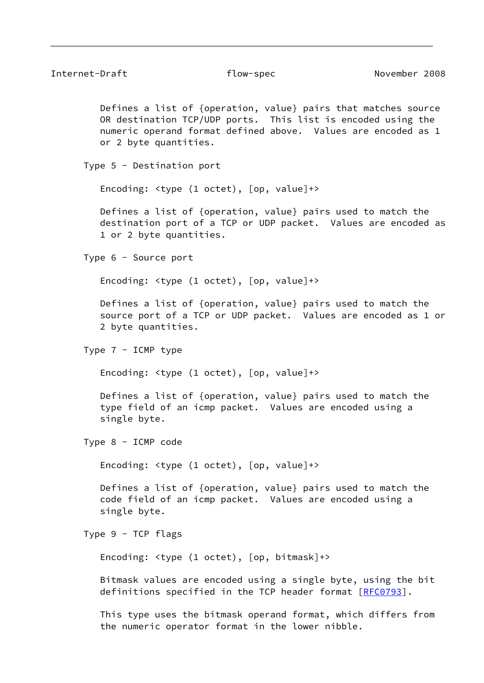Defines a list of {operation, value} pairs that matches source OR destination TCP/UDP ports. This list is encoded using the numeric operand format defined above. Values are encoded as 1 or 2 byte quantities.

Type 5 - Destination port

Encoding: <type (1 octet), [op, value]+>

 Defines a list of {operation, value} pairs used to match the destination port of a TCP or UDP packet. Values are encoded as 1 or 2 byte quantities.

Type 6 - Source port

Encoding: <type (1 octet), [op, value]+>

 Defines a list of {operation, value} pairs used to match the source port of a TCP or UDP packet. Values are encoded as 1 or 2 byte quantities.

```
 Type 7 - ICMP type
```
Encoding: <type (1 octet), [op, value]+>

 Defines a list of {operation, value} pairs used to match the type field of an icmp packet. Values are encoded using a single byte.

Type 8 - ICMP code

Encoding: <type (1 octet), [op, value]+>

 Defines a list of {operation, value} pairs used to match the code field of an icmp packet. Values are encoded using a single byte.

Type 9 - TCP flags

Encoding: <type (1 octet), [op, bitmask]+>

 Bitmask values are encoded using a single byte, using the bit definitions specified in the TCP header format [\[RFC0793](https://datatracker.ietf.org/doc/pdf/rfc0793)].

 This type uses the bitmask operand format, which differs from the numeric operator format in the lower nibble.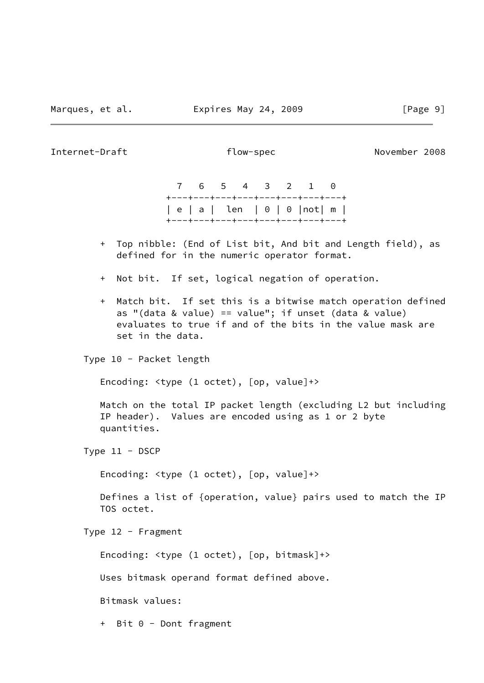Internet-Draft flow-spec November 2008

 7 6 5 4 3 2 1 0 +---+---+---+---+---+---+---+---+ | e | a | len | 0 | 0 |not| m | +---+---+---+---+---+---+---+---+

- + Top nibble: (End of List bit, And bit and Length field), as defined for in the numeric operator format.
- + Not bit. If set, logical negation of operation.
- + Match bit. If set this is a bitwise match operation defined as "(data & value) == value"; if unset (data & value) evaluates to true if and of the bits in the value mask are set in the data.

Type 10 - Packet length

Encoding: <type (1 octet), [op, value]+>

 Match on the total IP packet length (excluding L2 but including IP header). Values are encoded using as 1 or 2 byte quantities.

Type 11 - DSCP

Encoding: <type (1 octet), [op, value]+>

 Defines a list of {operation, value} pairs used to match the IP TOS octet.

Type 12 - Fragment

Encoding: <type (1 octet), [op, bitmask]+>

Uses bitmask operand format defined above.

Bitmask values:

+ Bit 0 - Dont fragment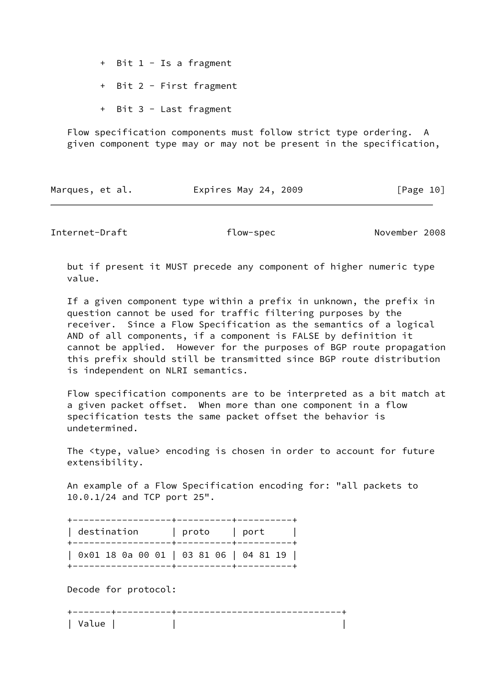+ Bit 1 - Is a fragment

+ Bit 2 - First fragment

+ Bit 3 - Last fragment

 Flow specification components must follow strict type ordering. A given component type may or may not be present in the specification,

| Marques, et al. | Expires May 24, 2009 | [Page 10] |
|-----------------|----------------------|-----------|
|                 |                      |           |

Internet-Draft **flow-spec** November 2008

 but if present it MUST precede any component of higher numeric type value.

 If a given component type within a prefix in unknown, the prefix in question cannot be used for traffic filtering purposes by the receiver. Since a Flow Specification as the semantics of a logical AND of all components, if a component is FALSE by definition it cannot be applied. However for the purposes of BGP route propagation this prefix should still be transmitted since BGP route distribution is independent on NLRI semantics.

 Flow specification components are to be interpreted as a bit match at a given packet offset. When more than one component in a flow specification tests the same packet offset the behavior is undetermined.

 The <type, value> encoding is chosen in order to account for future extensibility.

 An example of a Flow Specification encoding for: "all packets to 10.0.1/24 and TCP port 25".

| destination                            | proto | l port |
|----------------------------------------|-------|--------|
| 0x01 18 0a 00 01   03 81 06   04 81 19 |       |        |

Decode for protocol:

| ีน ล |  |  |
|------|--|--|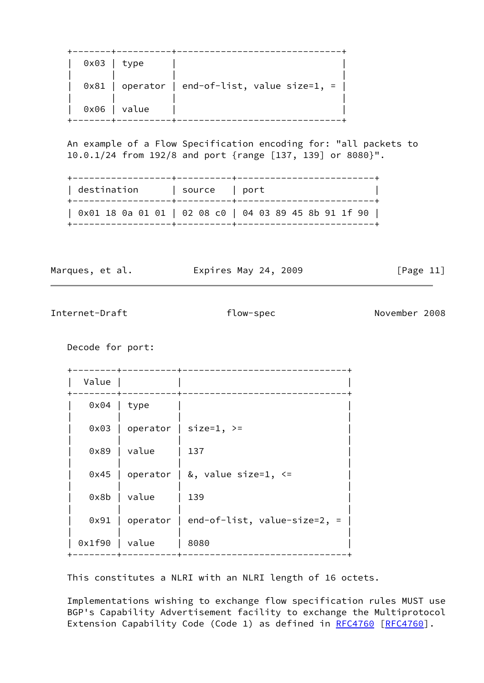| $0x03$   type |                |                                                  |
|---------------|----------------|--------------------------------------------------|
|               |                | $0x81$   operator   end-of-list, value size=1, = |
|               | $0x06$   value |                                                  |

 An example of a Flow Specification encoding for: "all packets to 10.0.1/24 from 192/8 and port {range [137, 139] or 8080}".

| destination                                           | source   port |  |
|-------------------------------------------------------|---------------|--|
| 0x01 18 0a 01 01   02 08 c0   04 03 89 45 8b 91 1f 90 |               |  |

Marques, et al. **Expires May 24, 2009** [Page 11]

Internet-Draft flow-spec November 2008

Decode for port:

 +--------+----------+------------------------------+ | Value | | | +--------+----------+------------------------------+ 0x04 | type | | | |  $0x03$  | operator | size=1, >= | | | | 0x89 | value | 137 | | | |  $0x45$  | operator | &, value size=1, <= | | | | 0x8b | value | 139 | | | |  $0x91$  | operator | end-of-list, value-size=2, = | | | | | 0x1f90 | value | 8080 | +--------+----------+------------------------------+

This constitutes a NLRI with an NLRI length of 16 octets.

 Implementations wishing to exchange flow specification rules MUST use BGP's Capability Advertisement facility to exchange the Multiprotocol Extension Capability Code (Code 1) as defined in [RFC4760](https://datatracker.ietf.org/doc/pdf/rfc4760) [\[RFC4760](https://datatracker.ietf.org/doc/pdf/rfc4760)].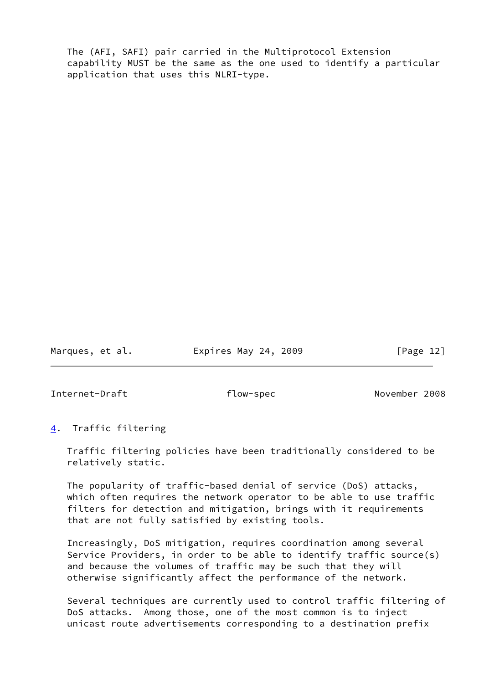The (AFI, SAFI) pair carried in the Multiprotocol Extension capability MUST be the same as the one used to identify a particular application that uses this NLRI-type.

Marques, et al. **Expires May 24, 2009** [Page 12]

<span id="page-13-1"></span>Internet-Draft flow-spec November 2008

# <span id="page-13-0"></span>[4](#page-13-0). Traffic filtering

 Traffic filtering policies have been traditionally considered to be relatively static.

 The popularity of traffic-based denial of service (DoS) attacks, which often requires the network operator to be able to use traffic filters for detection and mitigation, brings with it requirements that are not fully satisfied by existing tools.

 Increasingly, DoS mitigation, requires coordination among several Service Providers, in order to be able to identify traffic source(s) and because the volumes of traffic may be such that they will otherwise significantly affect the performance of the network.

 Several techniques are currently used to control traffic filtering of DoS attacks. Among those, one of the most common is to inject unicast route advertisements corresponding to a destination prefix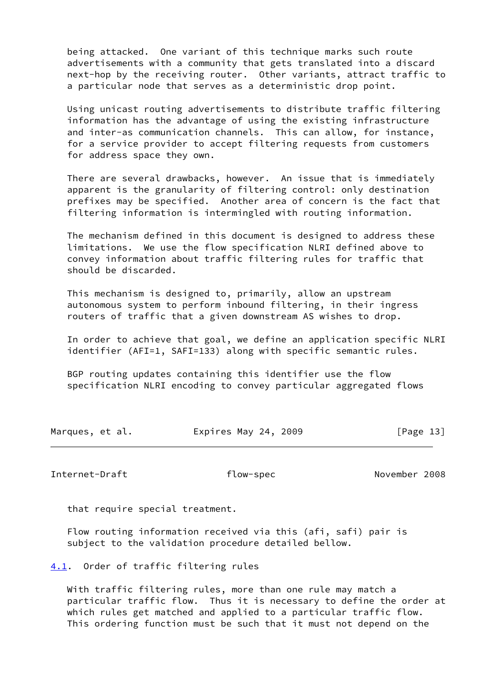being attacked. One variant of this technique marks such route advertisements with a community that gets translated into a discard next-hop by the receiving router. Other variants, attract traffic to a particular node that serves as a deterministic drop point.

 Using unicast routing advertisements to distribute traffic filtering information has the advantage of using the existing infrastructure and inter-as communication channels. This can allow, for instance, for a service provider to accept filtering requests from customers for address space they own.

 There are several drawbacks, however. An issue that is immediately apparent is the granularity of filtering control: only destination prefixes may be specified. Another area of concern is the fact that filtering information is intermingled with routing information.

 The mechanism defined in this document is designed to address these limitations. We use the flow specification NLRI defined above to convey information about traffic filtering rules for traffic that should be discarded.

 This mechanism is designed to, primarily, allow an upstream autonomous system to perform inbound filtering, in their ingress routers of traffic that a given downstream AS wishes to drop.

 In order to achieve that goal, we define an application specific NLRI identifier (AFI=1, SAFI=133) along with specific semantic rules.

 BGP routing updates containing this identifier use the flow specification NLRI encoding to convey particular aggregated flows

| Marques, et al. | Expires May 24, 2009 | [Page 13] |
|-----------------|----------------------|-----------|
|-----------------|----------------------|-----------|

<span id="page-14-1"></span>Internet-Draft **and Training Communist Communist Communist Communist Communist Communist Communist Communist Communist Communist Communist Communist Communist Communist Communist Communist Communist Communist Communist Com** 

that require special treatment.

 Flow routing information received via this (afi, safi) pair is subject to the validation procedure detailed bellow.

<span id="page-14-0"></span>[4.1](#page-14-0). Order of traffic filtering rules

 With traffic filtering rules, more than one rule may match a particular traffic flow. Thus it is necessary to define the order at which rules get matched and applied to a particular traffic flow. This ordering function must be such that it must not depend on the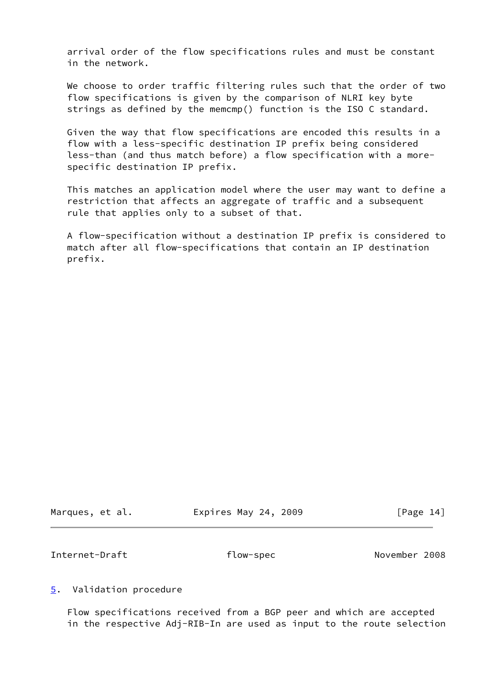arrival order of the flow specifications rules and must be constant in the network.

 We choose to order traffic filtering rules such that the order of two flow specifications is given by the comparison of NLRI key byte strings as defined by the memcmp() function is the ISO C standard.

 Given the way that flow specifications are encoded this results in a flow with a less-specific destination IP prefix being considered less-than (and thus match before) a flow specification with a more specific destination IP prefix.

 This matches an application model where the user may want to define a restriction that affects an aggregate of traffic and a subsequent rule that applies only to a subset of that.

 A flow-specification without a destination IP prefix is considered to match after all flow-specifications that contain an IP destination prefix.

Marques, et al. Expires May 24, 2009 [Page 14]

<span id="page-15-1"></span>Internet-Draft flow-spec November 2008

<span id="page-15-0"></span>[5](#page-15-0). Validation procedure

 Flow specifications received from a BGP peer and which are accepted in the respective Adj-RIB-In are used as input to the route selection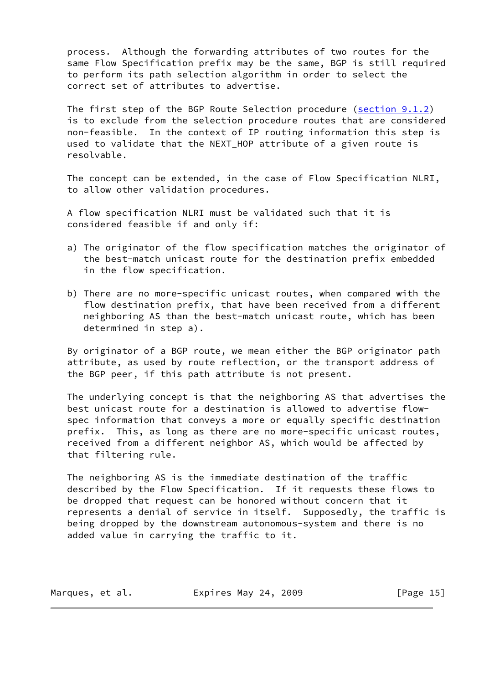process. Although the forwarding attributes of two routes for the same Flow Specification prefix may be the same, BGP is still required to perform its path selection algorithm in order to select the correct set of attributes to advertise.

 The first step of the BGP Route Selection procedure (section 9.1.2) is to exclude from the selection procedure routes that are considered non-feasible. In the context of IP routing information this step is used to validate that the NEXT\_HOP attribute of a given route is resolvable.

 The concept can be extended, in the case of Flow Specification NLRI, to allow other validation procedures.

 A flow specification NLRI must be validated such that it is considered feasible if and only if:

- a) The originator of the flow specification matches the originator of the best-match unicast route for the destination prefix embedded in the flow specification.
- b) There are no more-specific unicast routes, when compared with the flow destination prefix, that have been received from a different neighboring AS than the best-match unicast route, which has been determined in step a).

 By originator of a BGP route, we mean either the BGP originator path attribute, as used by route reflection, or the transport address of the BGP peer, if this path attribute is not present.

 The underlying concept is that the neighboring AS that advertises the best unicast route for a destination is allowed to advertise flow spec information that conveys a more or equally specific destination prefix. This, as long as there are no more-specific unicast routes, received from a different neighbor AS, which would be affected by that filtering rule.

 The neighboring AS is the immediate destination of the traffic described by the Flow Specification. If it requests these flows to be dropped that request can be honored without concern that it represents a denial of service in itself. Supposedly, the traffic is being dropped by the downstream autonomous-system and there is no added value in carrying the traffic to it.

| Marques, et al. | Expires May 24, 2009 | [Page 15] |
|-----------------|----------------------|-----------|
|-----------------|----------------------|-----------|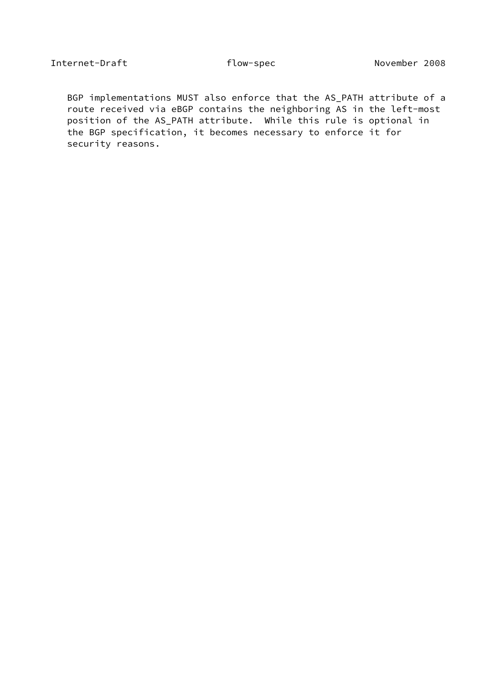BGP implementations MUST also enforce that the AS\_PATH attribute of a route received via eBGP contains the neighboring AS in the left-most position of the AS\_PATH attribute. While this rule is optional in the BGP specification, it becomes necessary to enforce it for security reasons.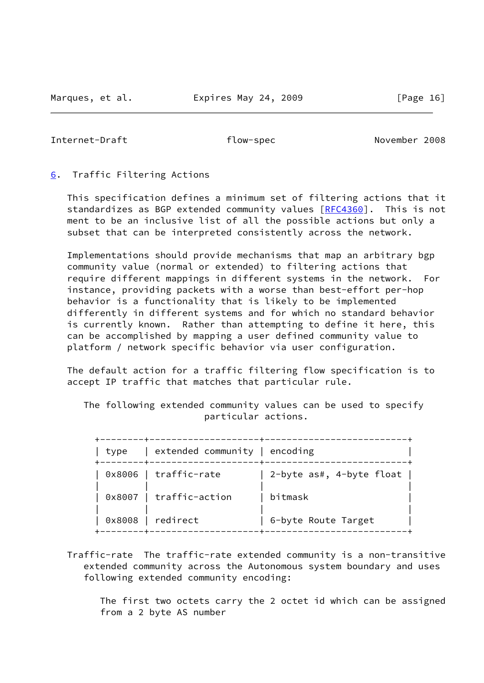<span id="page-18-1"></span>Internet-Draft flow-spec November 2008

#### <span id="page-18-0"></span>[6](#page-18-0). Traffic Filtering Actions

 This specification defines a minimum set of filtering actions that it standardizes as BGP extended community values [[RFC4360](https://datatracker.ietf.org/doc/pdf/rfc4360)]. This is not ment to be an inclusive list of all the possible actions but only a subset that can be interpreted consistently across the network.

 Implementations should provide mechanisms that map an arbitrary bgp community value (normal or extended) to filtering actions that require different mappings in different systems in the network. For instance, providing packets with a worse than best-effort per-hop behavior is a functionality that is likely to be implemented differently in different systems and for which no standard behavior is currently known. Rather than attempting to define it here, this can be accomplished by mapping a user defined community value to platform / network specific behavior via user configuration.

 The default action for a traffic filtering flow specification is to accept IP traffic that matches that particular rule.

 The following extended community values can be used to specify particular actions.

| l tvpe | extended community   encoding |                              |
|--------|-------------------------------|------------------------------|
|        | 0x8006   traffic-rate         | 2-byte as#, 4-byte float $ $ |
|        | 0x8007   traffic-action       | bitmask                      |
|        | 0x8008   redirect             | 6-byte Route Target          |

 Traffic-rate The traffic-rate extended community is a non-transitive extended community across the Autonomous system boundary and uses following extended community encoding:

 The first two octets carry the 2 octet id which can be assigned from a 2 byte AS number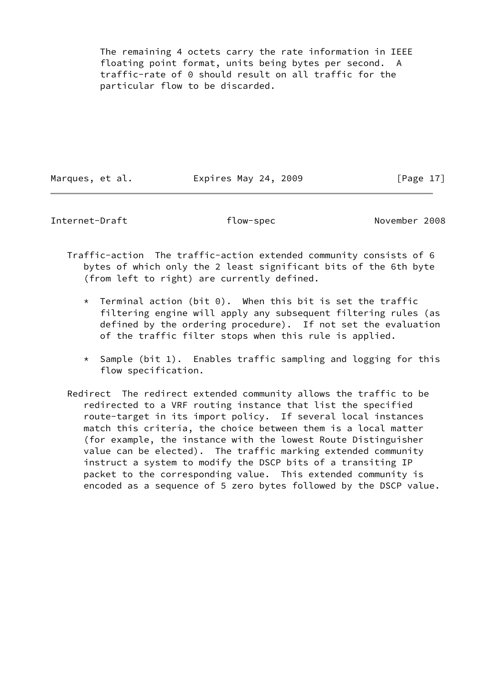The remaining 4 octets carry the rate information in IEEE floating point format, units being bytes per second. A traffic-rate of 0 should result on all traffic for the particular flow to be discarded.

Marques, et al. **Expires May 24, 2009** [Page 17]

Internet-Draft flow-spec November 2008

 Traffic-action The traffic-action extended community consists of 6 bytes of which only the 2 least significant bits of the 6th byte (from left to right) are currently defined.

- $*$  Terminal action (bit 0). When this bit is set the traffic filtering engine will apply any subsequent filtering rules (as defined by the ordering procedure). If not set the evaluation of the traffic filter stops when this rule is applied.
- \* Sample (bit 1). Enables traffic sampling and logging for this flow specification.
- Redirect The redirect extended community allows the traffic to be redirected to a VRF routing instance that list the specified route-target in its import policy. If several local instances match this criteria, the choice between them is a local matter (for example, the instance with the lowest Route Distinguisher value can be elected). The traffic marking extended community instruct a system to modify the DSCP bits of a transiting IP packet to the corresponding value. This extended community is encoded as a sequence of 5 zero bytes followed by the DSCP value.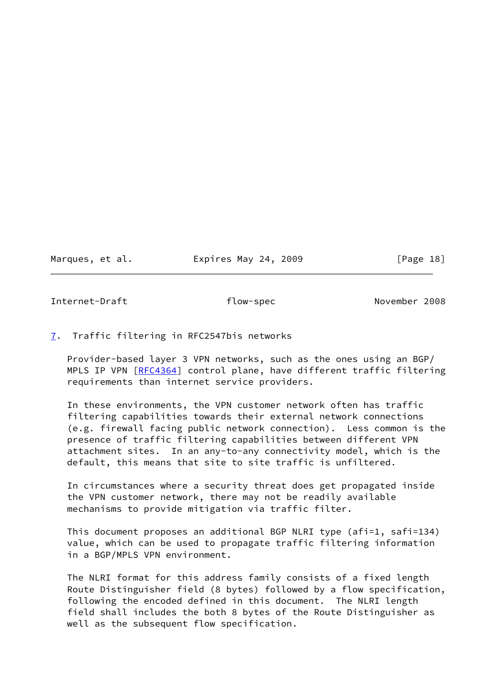Marques, et al. Expires May 24, 2009 [Page 18]

<span id="page-20-1"></span>Internet-Draft **flow-spec** November 2008

#### <span id="page-20-0"></span>[7](#page-20-0). Traffic filtering in RFC2547bis networks

 Provider-based layer 3 VPN networks, such as the ones using an BGP/ MPLS IP VPN [\[RFC4364](https://datatracker.ietf.org/doc/pdf/rfc4364)] control plane, have different traffic filtering requirements than internet service providers.

 In these environments, the VPN customer network often has traffic filtering capabilities towards their external network connections (e.g. firewall facing public network connection). Less common is the presence of traffic filtering capabilities between different VPN attachment sites. In an any-to-any connectivity model, which is the default, this means that site to site traffic is unfiltered.

 In circumstances where a security threat does get propagated inside the VPN customer network, there may not be readily available mechanisms to provide mitigation via traffic filter.

 This document proposes an additional BGP NLRI type (afi=1, safi=134) value, which can be used to propagate traffic filtering information in a BGP/MPLS VPN environment.

 The NLRI format for this address family consists of a fixed length Route Distinguisher field (8 bytes) followed by a flow specification, following the encoded defined in this document. The NLRI length field shall includes the both 8 bytes of the Route Distinguisher as well as the subsequent flow specification.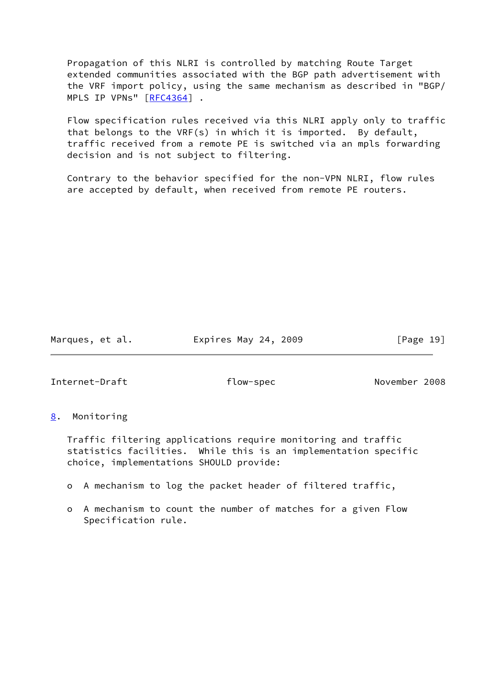Propagation of this NLRI is controlled by matching Route Target extended communities associated with the BGP path advertisement with the VRF import policy, using the same mechanism as described in "BGP/ MPLS IP VPNs" [[RFC4364](https://datatracker.ietf.org/doc/pdf/rfc4364)] .

 Flow specification rules received via this NLRI apply only to traffic that belongs to the VRF(s) in which it is imported. By default, traffic received from a remote PE is switched via an mpls forwarding decision and is not subject to filtering.

 Contrary to the behavior specified for the non-VPN NLRI, flow rules are accepted by default, when received from remote PE routers.

Marques, et al. **Expires May 24, 2009** [Page 19]

<span id="page-21-1"></span>Internet-Draft flow-spec November 2008

# <span id="page-21-0"></span>[8](#page-21-0). Monitoring

 Traffic filtering applications require monitoring and traffic statistics facilities. While this is an implementation specific choice, implementations SHOULD provide:

- o A mechanism to log the packet header of filtered traffic,
- o A mechanism to count the number of matches for a given Flow Specification rule.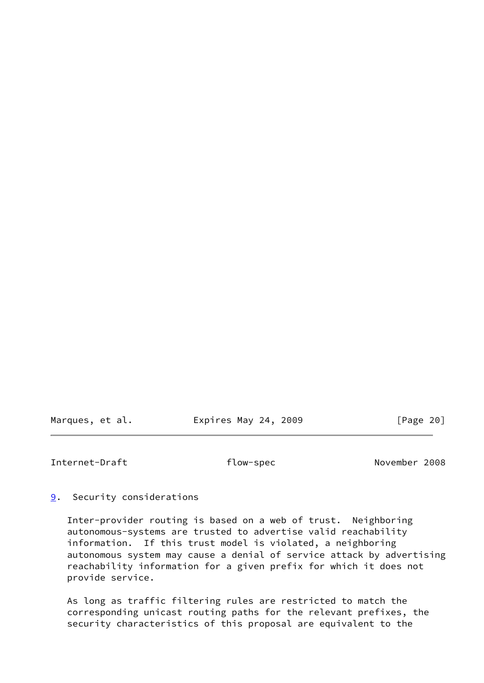Marques, et al. Expires May 24, 2009 [Page 20]

<span id="page-22-1"></span>Internet-Draft flow-spec November 2008

<span id="page-22-0"></span>[9](#page-22-0). Security considerations

 Inter-provider routing is based on a web of trust. Neighboring autonomous-systems are trusted to advertise valid reachability information. If this trust model is violated, a neighboring autonomous system may cause a denial of service attack by advertising reachability information for a given prefix for which it does not provide service.

 As long as traffic filtering rules are restricted to match the corresponding unicast routing paths for the relevant prefixes, the security characteristics of this proposal are equivalent to the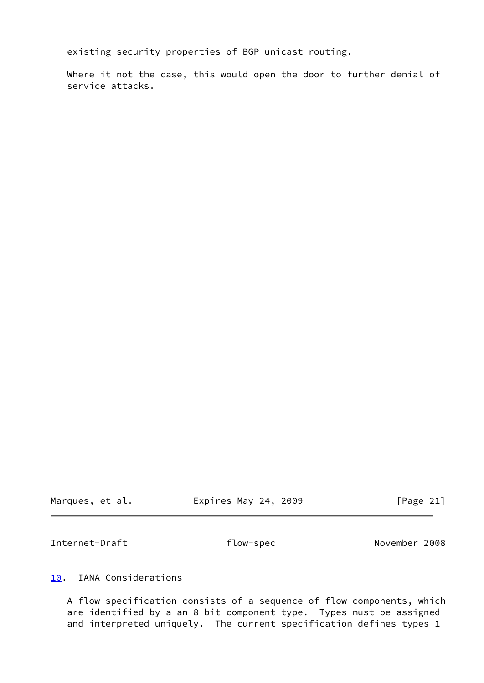existing security properties of BGP unicast routing.

Where it not the case, this would open the door to further denial of service attacks.

Marques, et al. **Expires May 24, 2009** [Page 21]

<span id="page-23-1"></span>Internet-Draft **flow-spec** November 2008

<span id="page-23-0"></span>[10.](#page-23-0) IANA Considerations

 A flow specification consists of a sequence of flow components, which are identified by a an 8-bit component type. Types must be assigned and interpreted uniquely. The current specification defines types 1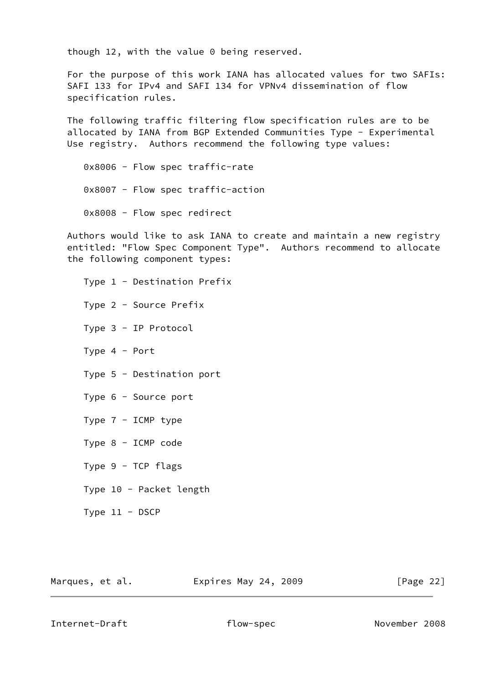though 12, with the value 0 being reserved.

 For the purpose of this work IANA has allocated values for two SAFIs: SAFI 133 for IPv4 and SAFI 134 for VPNv4 dissemination of flow specification rules.

 The following traffic filtering flow specification rules are to be allocated by IANA from BGP Extended Communities Type - Experimental Use registry. Authors recommend the following type values:

 0x8006 - Flow spec traffic-rate 0x8007 - Flow spec traffic-action 0x8008 - Flow spec redirect

 Authors would like to ask IANA to create and maintain a new registry entitled: "Flow Spec Component Type". Authors recommend to allocate the following component types:

 Type 1 - Destination Prefix Type 2 - Source Prefix Type 3 - IP Protocol Type 4 - Port Type 5 - Destination port Type 6 - Source port Type 7 - ICMP type Type 8 - ICMP code Type 9 - TCP flags Type 10 - Packet length Type 11 - DSCP

Marques, et al. **Expires May 24, 2009** [Page 22]

Internet-Draft **and Training Communist Communist Communist Communist Communist Communist Communist Communist Communist Communist Communist Communist Communist Communist Communist Communist Communist Communist Communist Com**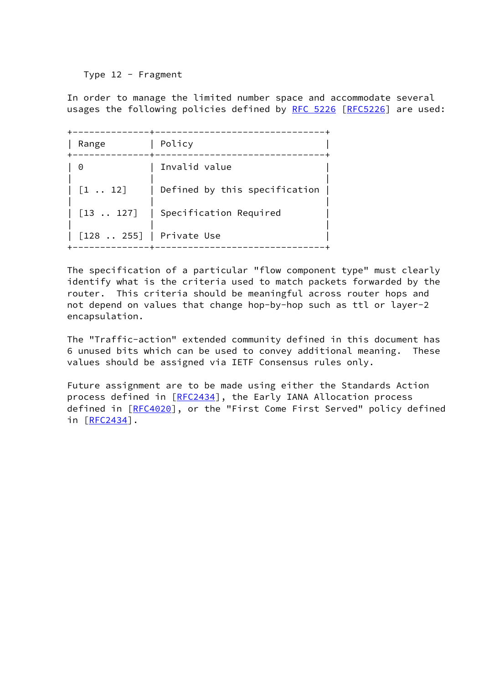Type 12 - Fragment

 In order to manage the limited number space and accommodate several usages the following policies defined by [RFC 5226](https://datatracker.ietf.org/doc/pdf/rfc5226) [[RFC5226](https://datatracker.ietf.org/doc/pdf/rfc5226)] are used:

| Range                                            | Policy                        |
|--------------------------------------------------|-------------------------------|
| $\Theta$                                         | Invalid value                 |
| $[1 \; \ldots \; 12]$                            | Defined by this specification |
| $\begin{bmatrix} 13 & \dots & 127 \end{bmatrix}$ | Specification Required        |
| [128  255]   Private Use                         |                               |

 The specification of a particular "flow component type" must clearly identify what is the criteria used to match packets forwarded by the router. This criteria should be meaningful across router hops and not depend on values that change hop-by-hop such as ttl or layer-2 encapsulation.

 The "Traffic-action" extended community defined in this document has 6 unused bits which can be used to convey additional meaning. These values should be assigned via IETF Consensus rules only.

 Future assignment are to be made using either the Standards Action process defined in [[RFC2434\]](https://datatracker.ietf.org/doc/pdf/rfc2434), the Early IANA Allocation process defined in [[RFC4020\]](https://datatracker.ietf.org/doc/pdf/rfc4020), or the "First Come First Served" policy defined in [[RFC2434\]](https://datatracker.ietf.org/doc/pdf/rfc2434).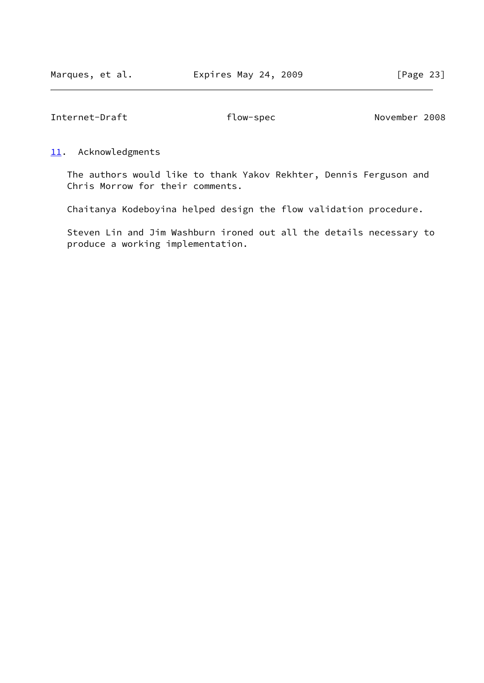<span id="page-26-1"></span>Internet-Draft **flow-spec** November 2008

#### <span id="page-26-0"></span>[11.](#page-26-0) Acknowledgments

 The authors would like to thank Yakov Rekhter, Dennis Ferguson and Chris Morrow for their comments.

Chaitanya Kodeboyina helped design the flow validation procedure.

 Steven Lin and Jim Washburn ironed out all the details necessary to produce a working implementation.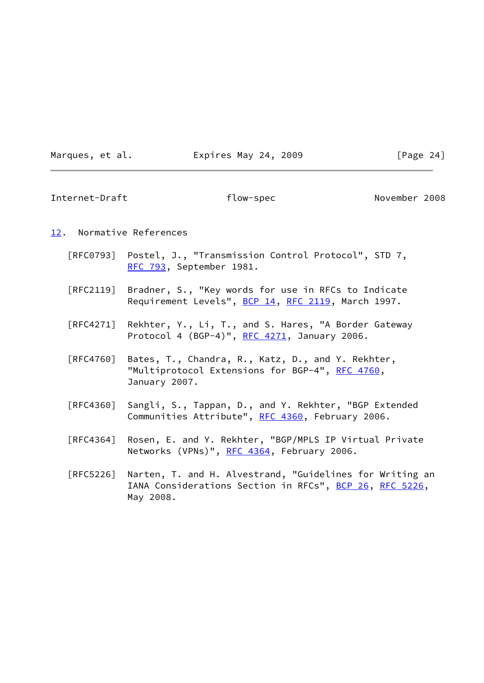Marques, et al. **Expires May 24, 2009** [Page 24]

<span id="page-27-1"></span>Internet-Draft flow-spec November 2008

# <span id="page-27-0"></span>[12.](#page-27-0) Normative References

- [RFC0793] Postel, J., "Transmission Control Protocol", STD 7, [RFC 793](https://datatracker.ietf.org/doc/pdf/rfc793), September 1981.
- [RFC2119] Bradner, S., "Key words for use in RFCs to Indicate Requirement Levels", [BCP 14](https://datatracker.ietf.org/doc/pdf/bcp14), [RFC 2119](https://datatracker.ietf.org/doc/pdf/rfc2119), March 1997.
- [RFC4271] Rekhter, Y., Li, T., and S. Hares, "A Border Gateway Protocol 4 (BGP-4)", [RFC 4271](https://datatracker.ietf.org/doc/pdf/rfc4271), January 2006.
- [RFC4760] Bates, T., Chandra, R., Katz, D., and Y. Rekhter, "Multiprotocol Extensions for BGP-4", [RFC 4760](https://datatracker.ietf.org/doc/pdf/rfc4760), January 2007.
- [RFC4360] Sangli, S., Tappan, D., and Y. Rekhter, "BGP Extended Communities Attribute", [RFC 4360,](https://datatracker.ietf.org/doc/pdf/rfc4360) February 2006.
- [RFC4364] Rosen, E. and Y. Rekhter, "BGP/MPLS IP Virtual Private Networks (VPNs)", [RFC 4364](https://datatracker.ietf.org/doc/pdf/rfc4364), February 2006.
- [RFC5226] Narten, T. and H. Alvestrand, "Guidelines for Writing an IANA Considerations Section in RFCs", [BCP 26](https://datatracker.ietf.org/doc/pdf/bcp26), [RFC 5226](https://datatracker.ietf.org/doc/pdf/rfc5226), May 2008.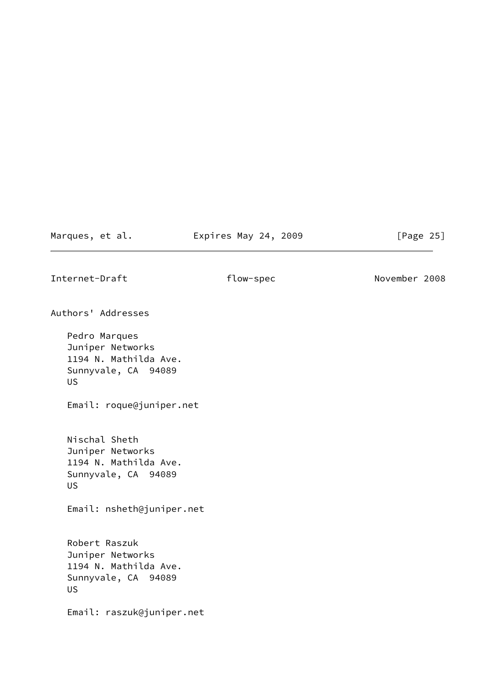Marques, et al. **Expires May 24, 2009** [Page 25]

<span id="page-28-0"></span>Internet-Draft flow-spec November 2008

Authors' Addresses

 Pedro Marques Juniper Networks 1194 N. Mathilda Ave. Sunnyvale, CA 94089 US

Email: roque@juniper.net

 Nischal Sheth Juniper Networks 1194 N. Mathilda Ave. Sunnyvale, CA 94089 US

Email: nsheth@juniper.net

 Robert Raszuk Juniper Networks 1194 N. Mathilda Ave. Sunnyvale, CA 94089 US

Email: raszuk@juniper.net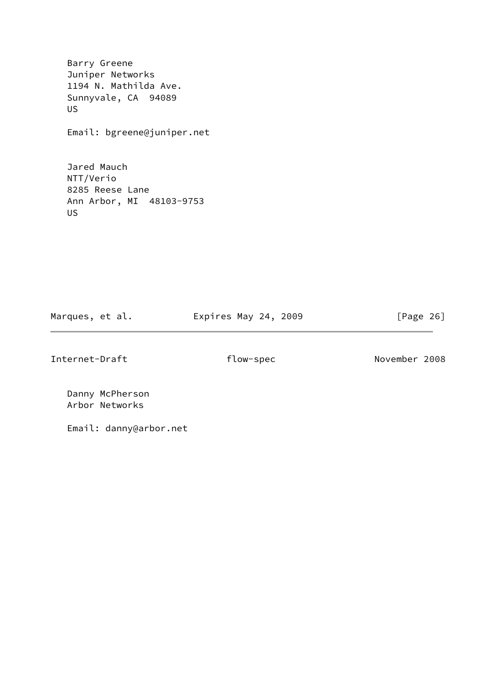Barry Greene Juniper Networks 1194 N. Mathilda Ave. Sunnyvale, CA 94089 US

Email: bgreene@juniper.net

 Jared Mauch NTT/Verio 8285 Reese Lane Ann Arbor, MI 48103-9753 US

Marques, et al. **Expires May 24, 2009** [Page 26]

Internet-Draft flow-spec November 2008

 Danny McPherson Arbor Networks

Email: danny@arbor.net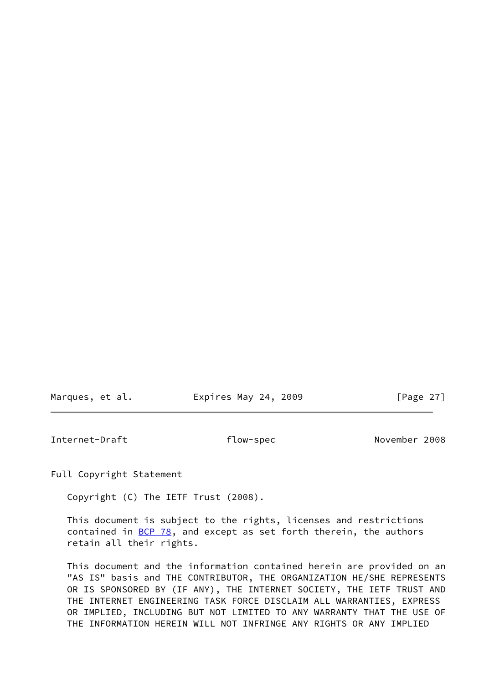| Marques, et al. | Expires May 24, 2009 | [Page 27] |
|-----------------|----------------------|-----------|
|                 |                      |           |

<span id="page-30-0"></span>Internet-Draft flow-spec November 2008

Full Copyright Statement

Copyright (C) The IETF Trust (2008).

 This document is subject to the rights, licenses and restrictions contained in  $BCP$  78, and except as set forth therein, the authors retain all their rights.

 This document and the information contained herein are provided on an "AS IS" basis and THE CONTRIBUTOR, THE ORGANIZATION HE/SHE REPRESENTS OR IS SPONSORED BY (IF ANY), THE INTERNET SOCIETY, THE IETF TRUST AND THE INTERNET ENGINEERING TASK FORCE DISCLAIM ALL WARRANTIES, EXPRESS OR IMPLIED, INCLUDING BUT NOT LIMITED TO ANY WARRANTY THAT THE USE OF THE INFORMATION HEREIN WILL NOT INFRINGE ANY RIGHTS OR ANY IMPLIED